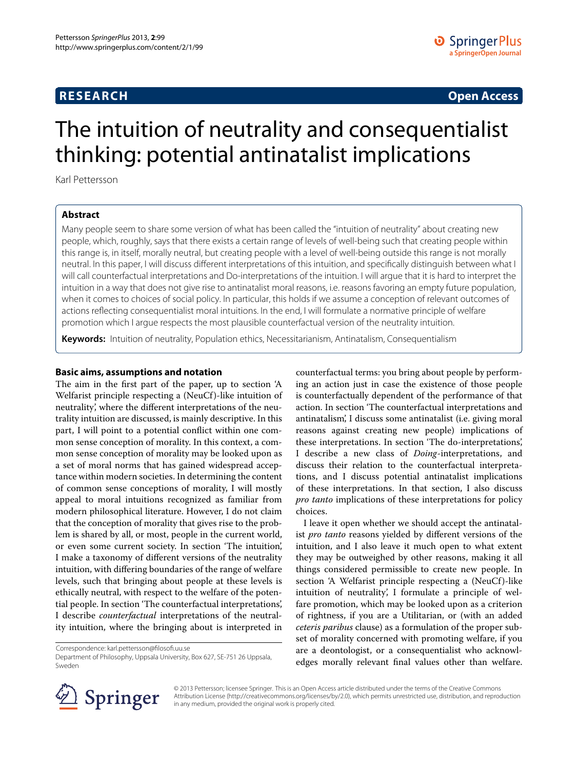## **RESEARCH Open Access**

# The intuition of neutrality and consequentialist thinking: potential antinatalist implications

Karl Pettersson

## **Abstract**

Many people seem to share some version of what has been called the "intuition of neutrality" about creating new people, which, roughly, says that there exists a certain range of levels of well-being such that creating people within this range is, in itself, morally neutral, but creating people with a level of well-being outside this range is not morally neutral. In this paper, I will discuss different interpretations of this intuition, and specifically distinguish between what I will call counterfactual interpretations and Do-interpretations of the intuition. I will argue that it is hard to interpret the intuition in a way that does not give rise to antinatalist moral reasons, i.e. reasons favoring an empty future population, when it comes to choices of social policy. In particular, this holds if we assume a conception of relevant outcomes of actions reflecting consequentialist moral intuitions. In the end, I will formulate a normative principle of welfare promotion which I argue respects the most plausible counterfactual version of the neutrality intuition.

**Keywords:** Intuition of neutrality, Population ethics, Necessitarianism, Antinatalism, Consequentialism

#### **Basic aims, assumptions and notation**

The aim in the first part of the paper, up to section 'A Welfarist principle respecting a (NeuCf)-like intuition of neutrality', where the different interpretations of the neutrality intuition are discussed, is mainly descriptive. In this part, I will point to a potential conflict within one common sense conception of morality. In this context, a common sense conception of morality may be looked upon as a set of moral norms that has gained widespread acceptance within modern societies. In determining the content of common sense conceptions of morality, I will mostly appeal to moral intuitions recognized as familiar from modern philosophical literature. However, I do not claim that the conception of morality that gives rise to the problem is shared by all, or most, people in the current world, or even some current society. In section 'The intuition', I make a taxonomy of different versions of the neutrality intuition, with differing boundaries of the range of welfare levels, such that bringing about people at these levels is ethically neutral, with respect to the welfare of the potential people. In section 'The counterfactual interpretations', I describe *counterfactual* interpretations of the neutrality intuition, where the bringing about is interpreted in

Correspondence: karl.pettersson@filosofi.uu.se

Department of Philosophy, Uppsala University, Box 627, SE-751 26 Uppsala, Sweden

counterfactual terms: you bring about people by performing an action just in case the existence of those people is counterfactually dependent of the performance of that action. In section 'The counterfactual interpretations and antinatalism', I discuss some antinatalist (i.e. giving moral reasons against creating new people) implications of these interpretations. In section 'The do-interpretations', I describe a new class of *Doing*-interpretations, and discuss their relation to the counterfactual interpretations, and I discuss potential antinatalist implications of these interpretations. In that section, I also discuss *pro tanto* implications of these interpretations for policy choices.

I leave it open whether we should accept the antinatalist *pro tanto* reasons yielded by different versions of the intuition, and I also leave it much open to what extent they may be outweighed by other reasons, making it all things considered permissible to create new people. In section 'A Welfarist principle respecting a (NeuCf)-like intuition of neutrality', I formulate a principle of welfare promotion, which may be looked upon as a criterion of rightness, if you are a Utilitarian, or (with an added *ceteris paribus* clause) as a formulation of the proper subset of morality concerned with promoting welfare, if you are a deontologist, or a consequentialist who acknowledges morally relevant final values other than welfare.



© 2013 Pettersson; licensee Springer. This is an Open Access article distributed under the terms of the Creative Commons Attribution License (http://creativecommons.org/licenses/by/2.0), which permits unrestricted use, distribution, and reproduction in any medium, provided the original work is properly cited.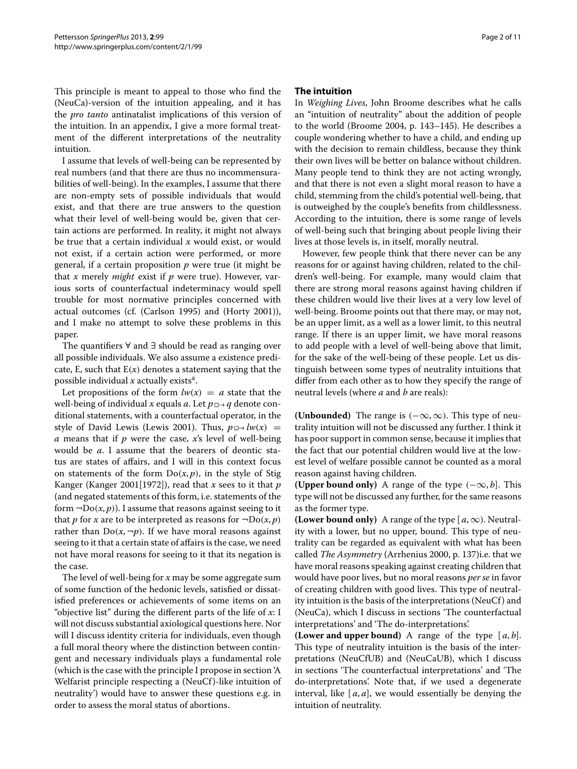This principle is meant to appeal to those who find the (NeuCa)-version of the intuition appealing, and it has the *pro tanto* antinatalist implications of this version of the intuition. In an appendix, I give a more formal treatment of the different interpretations of the neutrality intuition.

I assume that levels of well-being can be represented by real numbers (and that there are thus no incommensurabilities of well-being). In the examples, I assume that there are non-empty sets of possible individuals that would exist, and that there are true answers to the question what their level of well-being would be, given that certain actions are performed. In reality, it might not always be true that a certain individual *x* would exist, or would not exist, if a certain action were performed, or more general, if a certain proposition *p* were true (it might be that *x* merely *might* exist if *p* were true). However, various sorts of counterfactual indeterminacy would spell trouble for most normative principles concerned with actual outcomes (cf. (Carlson [1995\)](#page-10-0) and (Horty [2001\)](#page-10-1)), and I make no attempt to solve these problems in this paper.

The quantifiers ∀ and ∃ should be read as ranging over all possible individuals. We also assume a existence predicate, E, such that E*(x)* denotes a statement saying that the possible individual *x* actually exists<sup>a</sup>.

Let propositions of the form  $lw(x) = a$  state that the well-being of individual *x* equals *a*. Let  $p \mapsto q$  denote conditional statements, with a counterfactual operator, in the style of David Lewis (Lewis [2001\)](#page-10-2). Thus,  $p \mapsto lw(x)$  = *a* means that if *p* were the case, *x*'s level of well-being would be *a*. I assume that the bearers of deontic status are states of affairs, and I will in this context focus on statements of the form  $Do(x, p)$ , in the style of Stig Kanger (Kanger [2001\[](#page-10-3)1972]), read that *x* sees to it that *p* (and negated statements of this form, i.e. statements of the form  $\neg Do(x, p)$ ). I assume that reasons against seeing to it that *p* for *x* are to be interpreted as reasons for  $\neg Do(x, p)$ rather than  $Do(x, \neg p)$ . If we have moral reasons against seeing to it that a certain state of affairs is the case, we need not have moral reasons for seeing to it that its negation is the case.

The level of well-being for *x* may be some aggregate sum of some function of the hedonic levels, satisfied or dissatisfied preferences or achievements of some items on an "objective list" during the different parts of the life of *x*: I will not discuss substantial axiological questions here. Nor will I discuss identity criteria for individuals, even though a full moral theory where the distinction between contingent and necessary individuals plays a fundamental role (which is the case with the principle I propose in section 'A Welfarist principle respecting a (NeuCf)-like intuition of neutrality') would have to answer these questions e.g. in order to assess the moral status of abortions.

#### **The intuition**

In *Weighing Lives*, John Broome describes what he calls an "intuition of neutrality" about the addition of people to the world (Broome [2004,](#page-10-4) p. 143–145). He describes a couple wondering whether to have a child, and ending up with the decision to remain childless, because they think their own lives will be better on balance without children. Many people tend to think they are not acting wrongly, and that there is not even a slight moral reason to have a child, stemming from the child's potential well-being, that is outweighed by the couple's benefits from childlessness. According to the intuition, there is some range of levels of well-being such that bringing about people living their lives at those levels is, in itself, morally neutral.

However, few people think that there never can be any reasons for or against having children, related to the children's well-being. For example, many would claim that there are strong moral reasons against having children if these children would live their lives at a very low level of well-being. Broome points out that there may, or may not, be an upper limit, as a well as a lower limit, to this neutral range. If there is an upper limit, we have moral reasons to add people with a level of well-being above that limit, for the sake of the well-being of these people. Let us distinguish between some types of neutrality intuitions that differ from each other as to how they specify the range of neutral levels (where *a* and *b* are reals):

**(Unbounded)** The range is *(*−∞,∞*)*. This type of neutrality intuition will not be discussed any further. I think it has poor support in common sense, because it implies that the fact that our potential children would live at the lowest level of welfare possible cannot be counted as a moral reason against having children.

**(Upper bound only)** A range of the type  $(-\infty, b]$ . This type will not be discussed any further, for the same reasons as the former type.

**(Lower bound only)** A range of the type  $[a, \infty)$ . Neutrality with a lower, but no upper, bound. This type of neutrality can be regarded as equivalent with what has been called *The Asymmetry* (Arrhenius [2000,](#page-10-5) p. 137)i.e. that we have moral reasons speaking against creating children that would have poor lives, but no moral reasons *per se* in favor of creating children with good lives. This type of neutrality intuition is the basis of the interpretations (NeuCf ) and (NeuCa), which I discuss in sections 'The counterfactual interpretations' and 'The do-interpretations'.

**(Lower and upper bound)** A range of the type  $[a, b]$ . This type of neutrality intuition is the basis of the interpretations (NeuCfUB) and (NeuCaUB), which I discuss in sections 'The counterfactual interpretations' and 'The do-interpretations'. Note that, if we used a degenerate interval, like  $[a, a]$ , we would essentially be denying the intuition of neutrality.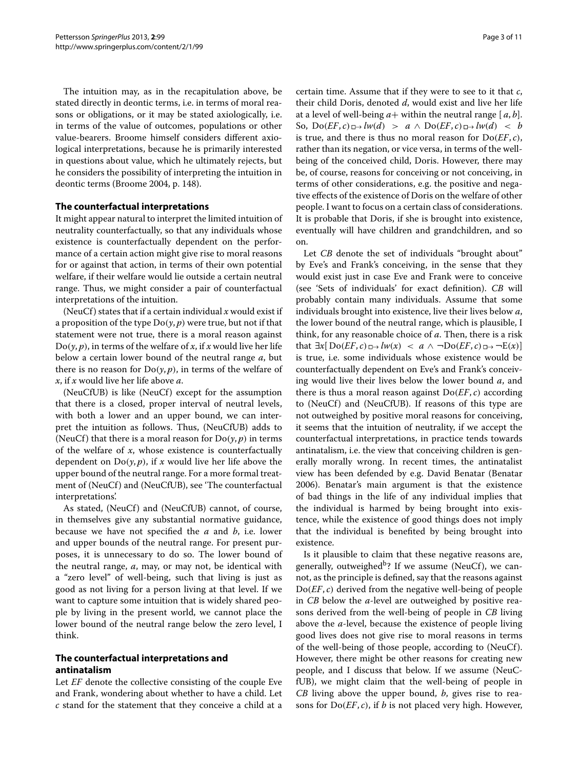The intuition may, as in the recapitulation above, be stated directly in deontic terms, i.e. in terms of moral reasons or obligations, or it may be stated axiologically, i.e. in terms of the value of outcomes, populations or other value-bearers. Broome himself considers different axiological interpretations, because he is primarily interested in questions about value, which he ultimately rejects, but he considers the possibility of interpreting the intuition in deontic terms (Broome [2004,](#page-10-4) p. 148).

#### **The counterfactual interpretations**

It might appear natural to interpret the limited intuition of neutrality counterfactually, so that any individuals whose existence is counterfactually dependent on the performance of a certain action might give rise to moral reasons for or against that action, in terms of their own potential welfare, if their welfare would lie outside a certain neutral range. Thus, we might consider a pair of counterfactual interpretations of the intuition.

(NeuCf) states that if a certain individual  $x$  would exist if a proposition of the type  $Do(y, p)$  were true, but not if that statement were not true, there is a moral reason against  $Do(y, p)$ , in terms of the welfare of *x*, if *x* would live her life below a certain lower bound of the neutral range *a*, but there is no reason for  $Do(y, p)$ , in terms of the welfare of *x*, if *x* would live her life above *a*.

(NeuCfUB) is like (NeuCf) except for the assumption that there is a closed, proper interval of neutral levels, with both a lower and an upper bound, we can interpret the intuition as follows. Thus, (NeuCfUB) adds to (NeuCf) that there is a moral reason for  $Do(y, p)$  in terms of the welfare of *x*, whose existence is counterfactually dependent on  $Do(y, p)$ , if *x* would live her life above the upper bound of the neutral range. For a more formal treatment of (NeuCf) and (NeuCfUB), see 'The counterfactual interpretations'.

As stated, (NeuCf) and (NeuCfUB) cannot, of course, in themselves give any substantial normative guidance, because we have not specified the *a* and *b*, i.e. lower and upper bounds of the neutral range. For present purposes, it is unnecessary to do so. The lower bound of the neutral range, *a*, may, or may not, be identical with a "zero level" of well-being, such that living is just as good as not living for a person living at that level. If we want to capture some intuition that is widely shared people by living in the present world, we cannot place the lower bound of the neutral range below the zero level, I think.

#### **The counterfactual interpretations and antinatalism**

Let *EF* denote the collective consisting of the couple Eve and Frank, wondering about whether to have a child. Let *c* stand for the statement that they conceive a child at a certain time. Assume that if they were to see to it that *c*, their child Doris, denoted *d*, would exist and live her life at a level of well-being  $a$  + within the neutral range  $[a, b]$ . So,  $Do(EF, c) \rightarrow lw(d) > a \land Do(EF, c) \rightarrow lw(d) < b$ is true, and there is thus no moral reason for  $Do(EF, c)$ , rather than its negation, or vice versa, in terms of the wellbeing of the conceived child, Doris. However, there may be, of course, reasons for conceiving or not conceiving, in terms of other considerations, e.g. the positive and negative effects of the existence of Doris on the welfare of other people. I want to focus on a certain class of considerations. It is probable that Doris, if she is brought into existence, eventually will have children and grandchildren, and so on.

Let *CB* denote the set of individuals "brought about" by Eve's and Frank's conceiving, in the sense that they would exist just in case Eve and Frank were to conceive (see 'Sets of individuals' for exact definition). *CB* will probably contain many individuals. Assume that some individuals brought into existence, live their lives below *a*, the lower bound of the neutral range, which is plausible, I think, for any reasonable choice of *a*. Then, there is a risk that  $\exists x [$  Do(*EF*, *c*)  $\Box$ →  $lw(x) < a \land \neg Do(EF, c) \Box \rightarrow \neg E(x)]$ is true, i.e. some individuals whose existence would be counterfactually dependent on Eve's and Frank's conceiving would live their lives below the lower bound *a*, and there is thus a moral reason against  $Do(EF, c)$  according to (NeuCf) and (NeuCfUB). If reasons of this type are not outweighed by positive moral reasons for conceiving, it seems that the intuition of neutrality, if we accept the counterfactual interpretations, in practice tends towards antinatalism, i.e. the view that conceiving children is generally morally wrong. In recent times, the antinatalist view has been defended by e.g. David Benatar (Benatar [2006\)](#page-10-6). Benatar's main argument is that the existence of bad things in the life of any individual implies that the individual is harmed by being brought into existence, while the existence of good things does not imply that the individual is benefited by being brought into existence.

Is it plausible to claim that these negative reasons are, generally, outweighed<sup>b</sup>? If we assume (NeuCf), we cannot, as the principle is defined, say that the reasons against Do*(EF*, *c)* derived from the negative well-being of people in *CB* below the *a*-level are outweighed by positive reasons derived from the well-being of people in *CB* living above the *a*-level, because the existence of people living good lives does not give rise to moral reasons in terms of the well-being of those people, according to (NeuCf ). However, there might be other reasons for creating new people, and I discuss that below. If we assume (NeuCfUB), we might claim that the well-being of people in *CB* living above the upper bound, *b*, gives rise to reasons for  $Do(EF, c)$ , if *b* is not placed very high. However,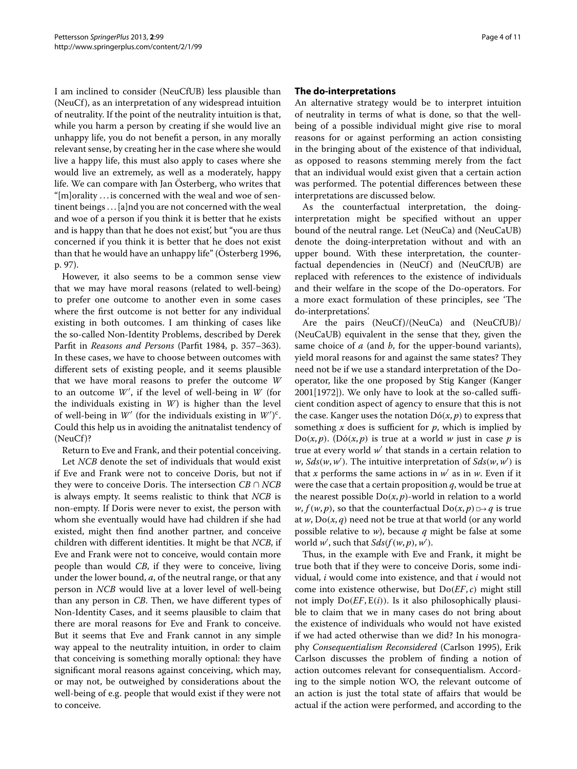I am inclined to consider (NeuCfUB) less plausible than (NeuCf), as an interpretation of any widespread intuition of neutrality. If the point of the neutrality intuition is that, while you harm a person by creating if she would live an unhappy life, you do not benefit a person, in any morally relevant sense, by creating her in the case where she would live a happy life, this must also apply to cases where she would live an extremely, as well as a moderately, happy life. We can compare with Jan Österberg, who writes that "[m]orality . . . is concerned with the weal and woe of sentinent beings . . . [a]nd you are not concerned with the weal and woe of a person if you think it is better that he exists and is happy than that he does not exist', but "you are thus concerned if you think it is better that he does not exist than that he would have an unhappy life" (Osterberg [1996,](#page-10-7) p. 97).

However, it also seems to be a common sense view that we may have moral reasons (related to well-being) to prefer one outcome to another even in some cases where the first outcome is not better for any individual existing in both outcomes. I am thinking of cases like the so-called Non-Identity Problems, described by Derek Parfit in *Reasons and Persons* (Parfit [1984,](#page-10-8) p. 357–363). In these cases, we have to choose between outcomes with different sets of existing people, and it seems plausible that we have moral reasons to prefer the outcome *W* to an outcome *W* , if the level of well-being in *W* (for the individuals existing in *W*) is higher than the level of well-being in  $W'$  (for the individuals existing in  $W'$ )<sup>c</sup>. Could this help us in avoiding the anitnatalist tendency of (NeuCf)?

Return to Eve and Frank, and their potential conceiving. Let *NCB* denote the set of individuals that would exist if Eve and Frank were not to conceive Doris, but not if they were to conceive Doris. The intersection *CB* ∩ *NCB* is always empty. It seems realistic to think that *NCB* is non-empty. If Doris were never to exist, the person with whom she eventually would have had children if she had existed, might then find another partner, and conceive children with different identities. It might be that *NCB*, if Eve and Frank were not to conceive, would contain more people than would *CB*, if they were to conceive, living under the lower bound, *a*, of the neutral range, or that any person in *NCB* would live at a lover level of well-being than any person in *CB*. Then, we have different types of Non-Identity Cases, and it seems plausible to claim that there are moral reasons for Eve and Frank to conceive. But it seems that Eve and Frank cannot in any simple way appeal to the neutrality intuition, in order to claim that conceiving is something morally optional: they have significant moral reasons against conceiving, which may, or may not, be outweighed by considerations about the well-being of e.g. people that would exist if they were not to conceive.

#### **The do-interpretations**

An alternative strategy would be to interpret intuition of neutrality in terms of what is done, so that the wellbeing of a possible individual might give rise to moral reasons for or against performing an action consisting in the bringing about of the existence of that individual, as opposed to reasons stemming merely from the fact that an individual would exist given that a certain action was performed. The potential differences between these interpretations are discussed below.

As the counterfactual interpretation, the doinginterpretation might be specified without an upper bound of the neutral range. Let (NeuCa) and (NeuCaUB) denote the doing-interpretation without and with an upper bound. With these interpretation, the counterfactual dependencies in (NeuCf) and (NeuCfUB) are replaced with references to the existence of individuals and their welfare in the scope of the Do-operators. For a more exact formulation of these principles, see 'The do-interpretations'.

Are the pairs (NeuCf)/(NeuCa) and (NeuCfUB)/ (NeuCaUB) equivalent in the sense that they, given the same choice of *a* (and *b*, for the upper-bound variants), yield moral reasons for and against the same states? They need not be if we use a standard interpretation of the Dooperator, like the one proposed by Stig Kanger (Kanger [2001\[](#page-10-3)1972]). We only have to look at the so-called sufficient condition aspect of agency to ensure that this is not the case. Kanger uses the notation  $D\acute{o}(x, p)$  to express that something *x* does is sufficient for *p*, which is implied by Do(*x*, *p*). (Dó(*x*, *p*) is true at a world *w* just in case *p* is true at every world *w* that stands in a certain relation to *w*, *Sds(w*,*w )*. The intuitive interpretation of *Sds(w*,*w )* is that *x* performs the same actions in  $w'$  as in  $w$ . Even if it were the case that a certain proposition *q*, would be true at the nearest possible  $Do(x, p)$ -world in relation to a world  $w, f(w, p)$ , so that the counterfactual  $Do(x, p) \rightarrow q$  is true at  $w$ ,  $Do(x, q)$  need not be true at that world (or any world possible relative to *w*), because *q* might be false at some world *w'*, such that  $Sds(f(w, p), w')$ .

Thus, in the example with Eve and Frank, it might be true both that if they were to conceive Doris, some individual, *i* would come into existence, and that *i* would not come into existence otherwise, but Do*(EF*, *c)* might still not imply Do*(EF*, E*(i))*. Is it also philosophically plausible to claim that we in many cases do not bring about the existence of individuals who would not have existed if we had acted otherwise than we did? In his monography *Consequentialism Reconsidered* (Carlson [1995\)](#page-10-0), Erik Carlson discusses the problem of finding a notion of action outcomes relevant for consequentialism. According to the simple notion WO, the relevant outcome of an action is just the total state of affairs that would be actual if the action were performed, and according to the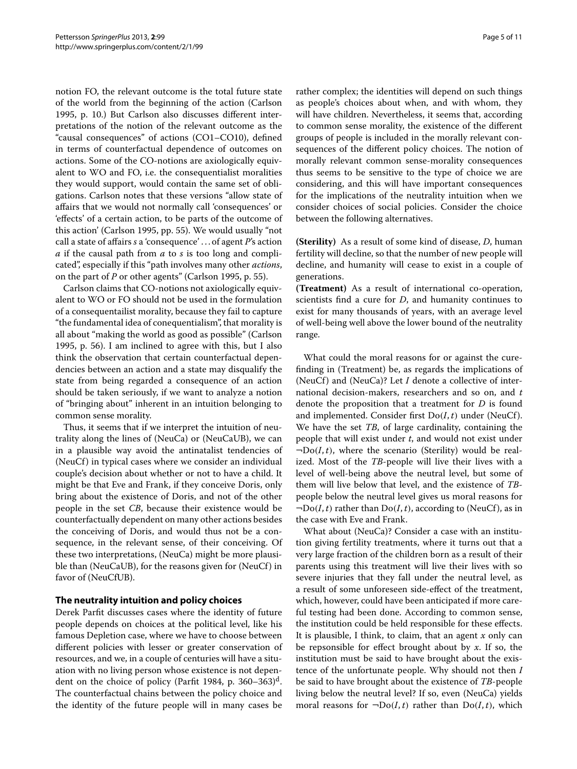notion FO, the relevant outcome is the total future state of the world from the beginning of the action (Carlson [1995,](#page-10-0) p. 10.) But Carlson also discusses different interpretations of the notion of the relevant outcome as the "causal consequences" of actions (CO1–CO10), defined in terms of counterfactual dependence of outcomes on actions. Some of the CO-notions are axiologically equivalent to WO and FO, i.e. the consequentialist moralities they would support, would contain the same set of obligations. Carlson notes that these versions "allow state of affairs that we would not normally call 'consequences' or 'effects' of a certain action, to be parts of the outcome of this action' (Carlson [1995,](#page-10-0) pp. 55). We would usually "not call a state of affairs *s* a 'consequence' . . . of agent *P*'s action *a* if the causal path from *a* to *s* is too long and complicated", especially if this "path involves many other *actions*, on the part of *P* or other agents" (Carlson [1995,](#page-10-0) p. 55).

Carlson claims that CO-notions not axiologically equivalent to WO or FO should not be used in the formulation of a consequentailist morality, because they fail to capture "the fundamental idea of conequentialism", that morality is all about "making the world as good as possible" (Carlson [1995,](#page-10-0) p. 56). I am inclined to agree with this, but I also think the observation that certain counterfactual dependencies between an action and a state may disqualify the state from being regarded a consequence of an action should be taken seriously, if we want to analyze a notion of "bringing about" inherent in an intuition belonging to common sense morality.

Thus, it seems that if we interpret the intuition of neutrality along the lines of (NeuCa) or (NeuCaUB), we can in a plausible way avoid the antinatalist tendencies of (NeuCf) in typical cases where we consider an individual couple's decision about whether or not to have a child. It might be that Eve and Frank, if they conceive Doris, only bring about the existence of Doris, and not of the other people in the set *CB*, because their existence would be counterfactually dependent on many other actions besides the conceiving of Doris, and would thus not be a consequence, in the relevant sense, of their conceiving. Of these two interpretations, (NeuCa) might be more plausible than (NeuCaUB), for the reasons given for (NeuCf) in favor of (NeuCfUB).

#### **The neutrality intuition and policy choices**

Derek Parfit discusses cases where the identity of future people depends on choices at the political level, like his famous Depletion case, where we have to choose between different policies with lesser or greater conservation of resources, and we, in a couple of centuries will have a situation with no living person whose existence is not depen-dent on the choice of policy (Parfit [1984,](#page-10-8) p. 360–363)<sup>d</sup>. The counterfactual chains between the policy choice and the identity of the future people will in many cases be

rather complex; the identities will depend on such things as people's choices about when, and with whom, they will have children. Nevertheless, it seems that, according to common sense morality, the existence of the different groups of people is included in the morally relevant consequences of the different policy choices. The notion of morally relevant common sense-morality consequences thus seems to be sensitive to the type of choice we are considering, and this will have important consequences for the implications of the neutrality intuition when we consider choices of social policies. Consider the choice between the following alternatives.

**(Sterility)** As a result of some kind of disease, *D*, human fertility will decline, so that the number of new people will decline, and humanity will cease to exist in a couple of generations.

**(Treatment)** As a result of international co-operation, scientists find a cure for *D*, and humanity continues to exist for many thousands of years, with an average level of well-being well above the lower bound of the neutrality range.

What could the moral reasons for or against the curefinding in (Treatment) be, as regards the implications of (NeuCf) and (NeuCa)? Let  $I$  denote a collective of international decision-makers, researchers and so on, and *t* denote the proposition that a treatment for *D* is found and implemented. Consider first Do*(I*, *t)* under (NeuCf ). We have the set *TB*, of large cardinality, containing the people that will exist under *t*, and would not exist under  $\neg Do(I, t)$ , where the scenario (Sterility) would be realized. Most of the *TB*-people will live their lives with a level of well-being above the neutral level, but some of them will live below that level, and the existence of *TB*people below the neutral level gives us moral reasons for  $\neg Do(I, t)$  rather than  $Do(I, t)$ , according to (NeuCf), as in the case with Eve and Frank.

What about (NeuCa)? Consider a case with an institution giving fertility treatments, where it turns out that a very large fraction of the children born as a result of their parents using this treatment will live their lives with so severe injuries that they fall under the neutral level, as a result of some unforeseen side-effect of the treatment, which, however, could have been anticipated if more careful testing had been done. According to common sense, the institution could be held responsible for these effects. It is plausible, I think, to claim, that an agent *x* only can be repsonsible for effect brought about by *x*. If so, the institution must be said to have brought about the existence of the unfortunate people. Why should not then *I* be said to have brought about the existence of *TB*-people living below the neutral level? If so, even (NeuCa) yields moral reasons for  $\neg Do(I, t)$  rather than  $Do(I, t)$ , which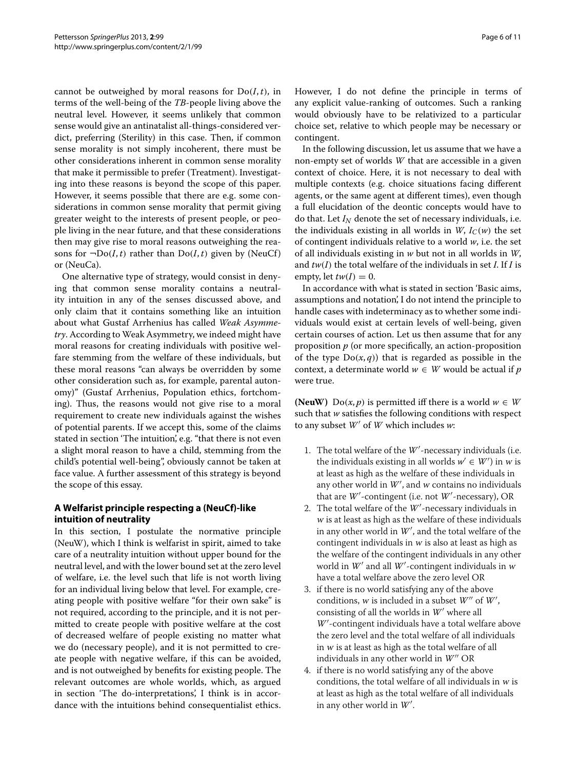cannot be outweighed by moral reasons for  $Do(I, t)$ , in terms of the well-being of the *TB*-people living above the neutral level. However, it seems unlikely that common sense would give an antinatalist all-things-considered verdict, preferring (Sterility) in this case. Then, if common sense morality is not simply incoherent, there must be other considerations inherent in common sense morality that make it permissible to prefer (Treatment). Investigating into these reasons is beyond the scope of this paper. However, it seems possible that there are e.g. some considerations in common sense morality that permit giving greater weight to the interests of present people, or people living in the near future, and that these considerations then may give rise to moral reasons outweighing the reasons for  $\neg Do(I, t)$  rather than  $Do(I, t)$  given by (NeuCf) or (NeuCa).

One alternative type of strategy, would consist in denying that common sense morality contains a neutrality intuition in any of the senses discussed above, and only claim that it contains something like an intuition about what Gustaf Arrhenius has called *Weak Asymmetry*. According to Weak Asymmetry, we indeed might have moral reasons for creating individuals with positive welfare stemming from the welfare of these individuals, but these moral reasons "can always be overridden by some other consideration such as, for example, parental autonomy)" (Gustaf Arrhenius, Population ethics, fortchoming). Thus, the reasons would not give rise to a moral requirement to create new individuals against the wishes of potential parents. If we accept this, some of the claims stated in section 'The intuition', e.g. "that there is not even a slight moral reason to have a child, stemming from the child's potential well-being", obviously cannot be taken at face value. A further assessment of this strategy is beyond the scope of this essay.

## **A Welfarist principle respecting a (NeuCf)-like intuition of neutrality**

In this section, I postulate the normative principle (NeuW), which I think is welfarist in spirit, aimed to take care of a neutrality intuition without upper bound for the neutral level, and with the lower bound set at the zero level of welfare, i.e. the level such that life is not worth living for an individual living below that level. For example, creating people with positive welfare "for their own sake" is not required, according to the principle, and it is not permitted to create people with positive welfare at the cost of decreased welfare of people existing no matter what we do (necessary people), and it is not permitted to create people with negative welfare, if this can be avoided, and is not outweighed by benefits for existing people. The relevant outcomes are whole worlds, which, as argued in section 'The do-interpretations', I think is in accordance with the intuitions behind consequentialist ethics.

However, I do not define the principle in terms of any explicit value-ranking of outcomes. Such a ranking would obviously have to be relativized to a particular choice set, relative to which people may be necessary or contingent.

In the following discussion, let us assume that we have a non-empty set of worlds *W* that are accessible in a given context of choice. Here, it is not necessary to deal with multiple contexts (e.g. choice situations facing different agents, or the same agent at different times), even though a full elucidation of the deontic concepts would have to do that. Let *IN* denote the set of necessary individuals, i.e. the individuals existing in all worlds in *W*,  $I_C(w)$  the set of contingent individuals relative to a world *w*, i.e. the set of all individuals existing in *w* but not in all worlds in *W*, and *tw(I)* the total welfare of the individuals in set *I*. If *I* is empty, let  $tw(I) = 0$ .

In accordance with what is stated in section 'Basic aims, assumptions and notation', I do not intend the principle to handle cases with indeterminacy as to whether some individuals would exist at certain levels of well-being, given certain courses of action. Let us then assume that for any proposition *p* (or more specifically, an action-proposition of the type  $Do(x, q)$  that is regarded as possible in the context, a determinate world  $w \in W$  would be actual if  $p$ were true.

**(NeuW)** Do $(x, p)$  is permitted iff there is a world  $w \in W$ such that *w* satisfies the following conditions with respect to any subset *W'* of *W* which includes *w*:

- 1. The total welfare of the *W* -necessary individuals (i.e. the individuals existing in all worlds  $w' \in W'$ ) in w is at least as high as the welfare of these individuals in any other world in *W* , and <sup>w</sup> contains no individuals that are *W* -contingent (i.e. not *W* -necessary), OR
- 2. The total welfare of the *W* -necessary individuals in <sup>w</sup> is at least as high as the welfare of these individuals in any other world in *W* , and the total welfare of the contingent individuals in <sup>w</sup> is also at least as high as the welfare of the contingent individuals in any other world in  $W'$  and all  $W'$ -contingent individuals in  $w$ have a total welfare above the zero level OR
- 3. if there is no world satisfying any of the above conditions, *w* is included in a subset *W*" of *W*', consisting of all the worlds in *W* where all *W* -contingent individuals have a total welfare above the zero level and the total welfare of all individuals in <sup>w</sup> is at least as high as the total welfare of all individuals in any other world in W<sup>"</sup> OR
- 4. if there is no world satisfying any of the above conditions, the total welfare of all individuals in <sup>w</sup> is at least as high as the total welfare of all individuals in any other world in *W* .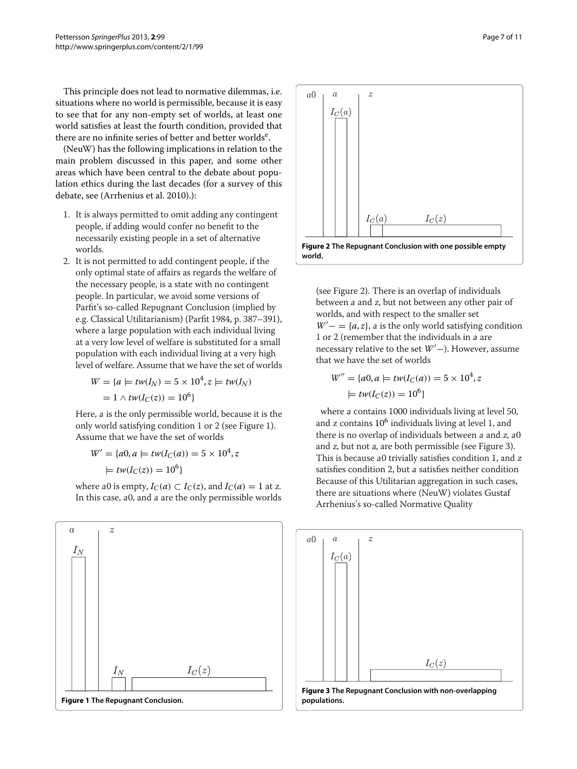This principle does not lead to normative dilemmas, i.e. situations where no world is permissible, because it is easy to see that for any non-empty set of worlds, at least one world satisfies at least the fourth condition, provided that there are no infinite series of better and better worlds<sup>e</sup>.

(NeuW) has the following implications in relation to the main problem discussed in this paper, and some other areas which have been central to the debate about population ethics during the last decades (for a survey of this debate, see (Arrhenius et al. [2010\)](#page-10-9).):

- 1. It is always permitted to omit adding any contingent people, if adding would confer no benefit to the necessarily existing people in a set of alternative worlds.
- 2. It is not permitted to add contingent people, if the only optimal state of affairs as regards the welfare of the necessary people, is a state with no contingent people. In particular, we avoid some versions of Parfit's so-called Repugnant Conclusion (implied by e.g. Classical Utilitarianism) (Parfit [1984,](#page-10-8) p. 387–391), where a large population with each individual living at a very low level of welfare is substituted for a small population with each individual living at a very high level of welfare. Assume that we have the set of worlds

$$
W = \{a \models tw(I_N) = 5 \times 10^4, z \models tw(I_N) = 1 \land tw(I_C(z)) = 10^6\}
$$

Here, <sup>a</sup> is the only permissible world, because it is the only world satisfying condition 1 or 2 (see Figure [1\)](#page-6-0). Assume that we have the set of worlds

$$
W' = \{a0, a \models tw(I_C(a)) = 5 \times 10^4, z
$$
  

$$
\models tw(I_C(z)) = 10^6\}
$$

where a0 is empty,  $I_C(a) \subset I_C(z)$ , and  $I_C(a) = 1$  at z. In this case, <sup>a</sup>0, and <sup>a</sup> are the only permissible worlds

<span id="page-6-0"></span>



<span id="page-6-1"></span>(see Figure [2\)](#page-6-1). There is an overlap of individuals between <sup>a</sup> and <sup>z</sup>, but not between any other pair of worlds, and with respect to the smaller set  $W' - = {a, z}$ , *a* is the only world satisfying condition 1 or 2 (remember that the individuals in <sup>a</sup> are necessary relative to the set *W'* −). However, assume that we have the set of worlds

 $W'' = \{a0, a \models tw(I_C(a)) = 5 \times 10^4, z\}$  $\models$   $tw(I_C(z)) = 10^6$ 

where <sup>a</sup> contains 1000 individuals living at level 50, and z contains  $10^6$  individuals living at level 1, and there is no overlap of individuals between <sup>a</sup> and <sup>z</sup>, <sup>a</sup>0 and <sup>z</sup>, but not <sup>a</sup>, are both permissible (see Figure [3\)](#page-6-2). This is because <sup>a</sup>0 trivially satisfies condition 1, and <sup>z</sup> satisfies condition 2, but <sup>a</sup> satisfies neither condition Because of this Utilitarian aggregation in such cases, there are situations where (NeuW) violates Gustaf Arrhenius's so-called Normative Quality

<span id="page-6-2"></span>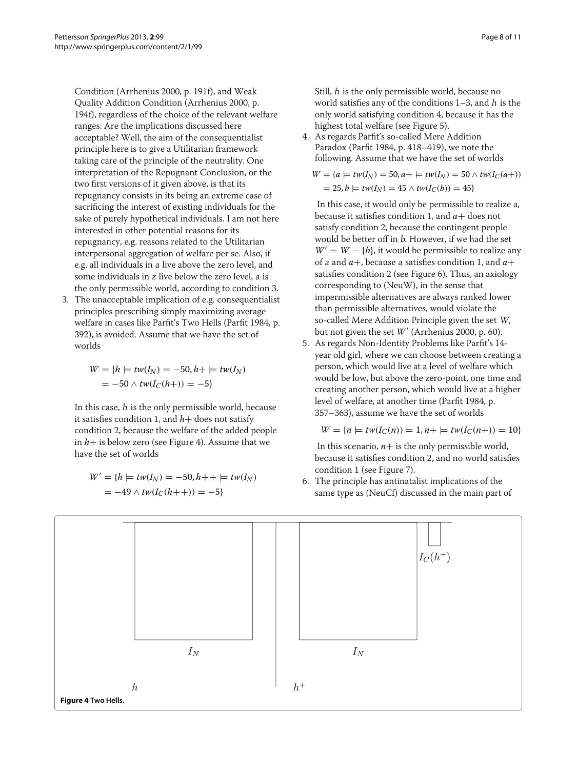Condition (Arrhenius [2000,](#page-10-5) p. 191f), and Weak Quality Addition Condition (Arrhenius [2000,](#page-10-5) p. 194f), regardless of the choice of the relevant welfare ranges. Are the implications discussed here acceptable? Well, the aim of the consequentialist principle here is to give a Utilitarian framework taking care of the principle of the neutrality. One interpretation of the Repugnant Conclusion, or the two first versions of it given above, is that its repugnancy consists in its being an extreme case of sacrificing the interest of existing individuals for the sake of purely hypothetical individuals. I am not here interested in other potential reasons for its repugnancy, e.g. reasons related to the Utilitarian interpersonal aggregation of welfare per se. Also, if e.g. all individuals in <sup>a</sup> live above the zero level, and some individuals in <sup>z</sup> live below the zero level, <sup>a</sup> is the only permissible world, according to condition 3.

3. The unacceptable implication of e.g. consequentialist principles prescribing simply maximizing average welfare in cases like Parfit's Two Hells (Parfit [1984,](#page-10-8) p. 392), is avoided. Assume that we have the set of worlds

$$
W = \{ h \models tw(I_N) = -50, h + \models tw(I_N) = -50 \land tw(I_C(h+)) = -5 \}
$$

In this case, h is the only permissible world, because it satisfies condition 1, and *h*+ does not satisfy condition 2, because the welfare of the added people in  $h+$  is below zero (see Figure [4\)](#page-7-0). Assume that we have the set of worlds

$$
W' = \{ h \models tw(I_N) = -50, h++ \models tw(I_N) = -49 \land tw(I_C(h++) = -5 \}
$$

Still, h is the only permissible world, because no world satisfies any of the conditions 1–3, and h is the only world satisfying condition 4, because it has the highest total welfare (see Figure [5\)](#page-8-0).

4. As regards Parfit's so-called Mere Addition Paradox (Parfit [1984,](#page-10-8) p. 418–419), we note the following. Assume that we have the set of worlds

$$
W = \{a \models tw(I_N) = 50, a + \models tw(I_N) = 50 \land tw(I_C(a+))
$$
  
= 25, b \models tw(I\_N) = 45 \land tw(I\_C(b)) = 45}

In this case, it would only be permissible to realize <sup>a</sup>, because it satisfies condition 1, and *a*+ does not satisfy condition 2, because the contingent people would be better off in b. However, if we had the set  $W' = W - \{b\}$ , it would be permissible to realize any of <sup>a</sup> and *a*+, because <sup>a</sup> satisfies condition 1, and *a*+ satisfies condition 2 (see Figure [6\)](#page-8-1). Thus, an axiology corresponding to (NeuW), in the sense that impermissible alternatives are always ranked lower than permissible alternatives, would violate the so-called Mere Addition Principle given the set <sup>W</sup>, but not given the set *W* (Arrhenius [2000,](#page-10-5) p. 60).

5. As regards Non-Identity Problems like Parfit's 14 year old girl, where we can choose between creating a person, which would live at a level of welfare which would be low, but above the zero-point, one time and creating another person, which would live at a higher level of welfare, at another time (Parfit [1984,](#page-10-8) p. 357–363), assume we have the set of worlds

$$
W = \{ n \models tw(I_C(n)) = 1, n + \models tw(I_C(n+)) = 10 \}
$$

In this scenario,  $n+$  is the only permissible world, because it satisfies condition 2, and no world satisfies condition 1 (see Figure [7\)](#page-9-0).

6. The principle has antinatalist implications of the same type as (NeuCf) discussed in the main part of

<span id="page-7-0"></span>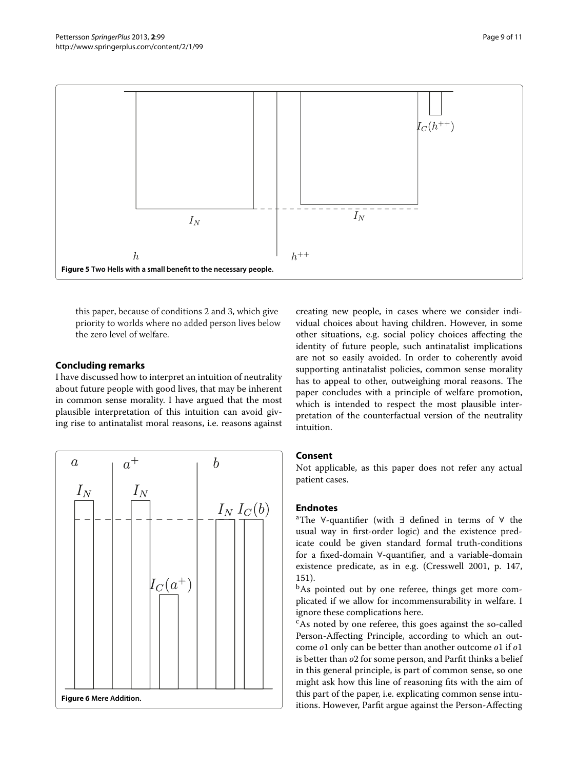

<span id="page-8-0"></span>this paper, because of conditions 2 and 3, which give priority to worlds where no added person lives below the zero level of welfare.

## **Concluding remarks**

I have discussed how to interpret an intuition of neutrality about future people with good lives, that may be inherent in common sense morality. I have argued that the most plausible interpretation of this intuition can avoid giving rise to antinatalist moral reasons, i.e. reasons against



creating new people, in cases where we consider individual choices about having children. However, in some other situations, e.g. social policy choices affecting the identity of future people, such antinatalist implications are not so easily avoided. In order to coherently avoid supporting antinatalist policies, common sense morality has to appeal to other, outweighing moral reasons. The paper concludes with a principle of welfare promotion, which is intended to respect the most plausible interpretation of the counterfactual version of the neutrality intuition.

#### **Consent**

Not applicable, as this paper does not refer any actual patient cases.

## **Endnotes**

aThe <sup>∀</sup>-quantifier (with <sup>∃</sup> defined in terms of <sup>∀</sup> the usual way in first-order logic) and the existence predicate could be given standard formal truth-conditions for a fixed-domain ∀-quantifier, and a variable-domain existence predicate, as in e.g. (Cresswell [2001,](#page-10-10) p. 147, 151).

bAs pointed out by one referee, things get more complicated if we allow for incommensurability in welfare. I ignore these complications here.

<span id="page-8-1"></span><sup>c</sup>As noted by one referee, this goes against the so-called Person-Affecting Principle, according to which an outcome *o*1 only can be better than another outcome *o*1 if *o*1 is better than *o*2 for some person, and Parfit thinks a belief in this general principle, is part of common sense, so one might ask how this line of reasoning fits with the aim of this part of the paper, i.e. explicating common sense intuitions. However, Parfit argue against the Person-Affecting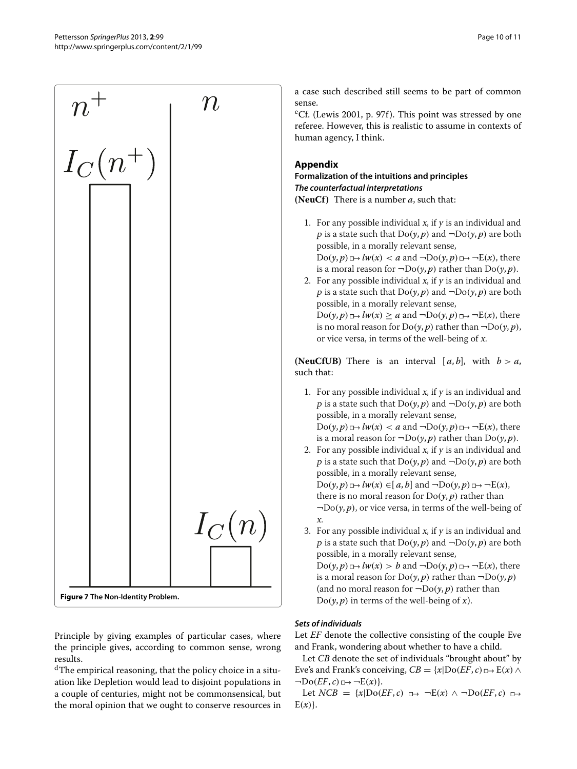

<span id="page-9-0"></span>Principle by giving examples of particular cases, where the principle gives, according to common sense, wrong results.

dThe empirical reasoning, that the policy choice in a situation like Depletion would lead to disjoint populations in a couple of centuries, might not be commonsensical, but the moral opinion that we ought to conserve resources in a case such described still seems to be part of common sense.

<sup>e</sup>Cf. (Lewis [2001,](#page-10-2) p. 97f). This point was stressed by one referee. However, this is realistic to assume in contexts of human agency, I think.

## **Appendix**

# **Formalization of the intuitions and principles** *The counterfactual interpretations*

**(NeuCf)** There is a number  $a$ , such that:

- 1. For any possible individual  $x$ , if  $y$  is an individual and *p* is a state such that  $Do(y, p)$  and  $\neg Do(y, p)$  are both possible, in a morally relevant sense,  $Do(y, p) \rightarrow lw(x) < a$  and  $\neg Do(y, p) \rightarrow \neg E(x)$ , there is a moral reason for  $\neg Do(\gamma, p)$  rather than  $Do(\gamma, p)$ .
- 2. For any possible individual  $x$ , if  $y$  is an individual and *p* is a state such that  $Do(y, p)$  and  $\neg Do(y, p)$  are both possible, in a morally relevant sense,  $Do(y, p) \mapsto lw(x) > a$  and  $\neg Do(y, p) \mapsto \neg E(x)$ , there is no moral reason for  $Do(\gamma, p)$  rather than  $\neg Do(\gamma, p)$ , or vice versa, in terms of the well-being of <sup>x</sup>.

**(NeuCfUB)** There is an interval  $[a, b]$ , with  $b > a$ , such that:

- 1. For any possible individual  $x$ , if  $y$  is an individual and *p* is a state such that  $Do(y, p)$  and  $\neg Do(y, p)$  are both possible, in a morally relevant sense,  $Do(y, p) \rightarrow lw(x) < a$  and  $\neg Do(y, p) \rightarrow \neg E(x)$ , there is a moral reason for  $\neg Do(\gamma, p)$  rather than  $Do(\gamma, p)$ .
- 2. For any possible individual  $x$ , if  $y$  is an individual and *p* is a state such that  $Do(y, p)$  and  $\neg Do(y, p)$  are both possible, in a morally relevant sense,  $D$ **o** $(y, p) \rightarrow lw(x) \in [a, b]$  and  $\neg Do(y, p) \rightarrow \neg E(x)$ , there is no moral reason for  $Do(y, p)$  rather than  $\neg Do(\gamma, p)$ , or vice versa, in terms of the well-being of x.
- 3. For any possible individual  $x$ , if  $v$  is an individual and p is a state such that  $Do(v, p)$  and  $\neg Do(v, p)$  are both possible, in a morally relevant sense,  $Do(y, p) \rightarrow lw(x) > b$  and  $\neg Do(y, p) \rightarrow \neg E(x)$ , there is a moral reason for  $Do(y, p)$  rather than  $\neg Do(y, p)$ (and no moral reason for  $\neg Do(y, p)$  rather than  $Do(y, p)$  in terms of the well-being of x).

## *Sets of individuals*

Let *EF* denote the collective consisting of the couple Eve and Frank, wondering about whether to have a child.

Let *CB* denote the set of individuals "brought about" by Eve's and Frank's conceiving,  $CB = \{x | Do(EF, c) \mapsto E(x) \land$  $\neg$ Do(*EF*, *c*)  $\Box$  $\rightarrow$   $\neg$ E(*x*)}.

Let  $NCB = \{x|Do(EF, c) \implies \neg E(x) \land \neg Do(EF, c) \implies$  $E(x)$ .